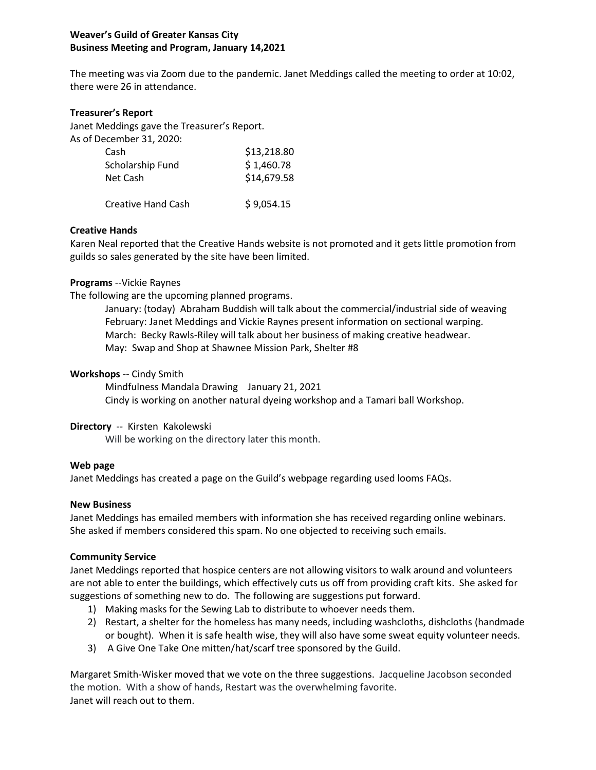# **Weaver's Guild of Greater Kansas City Business Meeting and Program, January 14,2021**

The meeting was via Zoom due to the pandemic. Janet Meddings called the meeting to order at 10:02, there were 26 in attendance.

#### **Treasurer's Report**

Janet Meddings gave the Treasurer's Report. As of December 31, 2020.

| ecember 31, 2020:         |             |
|---------------------------|-------------|
| Cash                      | \$13,218.80 |
| Scholarship Fund          | \$1,460.78  |
| Net Cash                  | \$14,679.58 |
| <b>Creative Hand Cash</b> | \$9,054.15  |

### **Creative Hands**

Karen Neal reported that the Creative Hands website is not promoted and it gets little promotion from guilds so sales generated by the site have been limited.

### **Programs** --Vickie Raynes

The following are the upcoming planned programs.

January: (today) Abraham Buddish will talk about the commercial/industrial side of weaving February: Janet Meddings and Vickie Raynes present information on sectional warping. March: Becky Rawls-Riley will talk about her business of making creative headwear. May: Swap and Shop at Shawnee Mission Park, Shelter #8

# **Workshops** -- Cindy Smith

Mindfulness Mandala Drawing January 21, 2021 Cindy is working on another natural dyeing workshop and a Tamari ball Workshop.

### **Directory** -- Kirsten Kakolewski

Will be working on the directory later this month.

### **Web page**

Janet Meddings has created a page on the Guild's webpage regarding used looms FAQs.

### **New Business**

Janet Meddings has emailed members with information she has received regarding online webinars. She asked if members considered this spam. No one objected to receiving such emails.

### **Community Service**

Janet Meddings reported that hospice centers are not allowing visitors to walk around and volunteers are not able to enter the buildings, which effectively cuts us off from providing craft kits. She asked for suggestions of something new to do. The following are suggestions put forward.

- 1) Making masks for the Sewing Lab to distribute to whoever needs them.
- 2) Restart, a shelter for the homeless has many needs, including washcloths, dishcloths (handmade or bought). When it is safe health wise, they will also have some sweat equity volunteer needs.
- 3) A Give One Take One mitten/hat/scarf tree sponsored by the Guild.

Margaret Smith-Wisker moved that we vote on the three suggestions. Jacqueline Jacobson seconded the motion. With a show of hands, Restart was the overwhelming favorite. Janet will reach out to them.